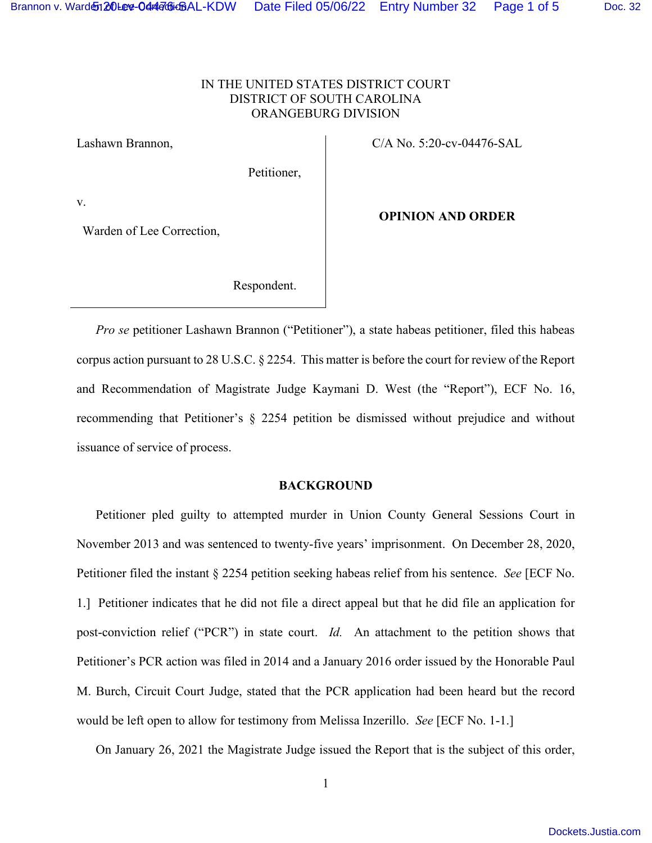### IN THE UNITED STATES DISTRICT COURT DISTRICT OF SOUTH CAROLINA ORANGEBURG DIVISION

Lashawn Brannon, C/A No. 5:20-cv-04476-SAL

Petitioner,

v.

Warden of Lee Correction,

#### **OPINION AND ORDER**

Respondent.

*Pro se* petitioner Lashawn Brannon ("Petitioner"), a state habeas petitioner, filed this habeas corpus action pursuant to 28 U.S.C. § 2254. This matter is before the court for review of the Report and Recommendation of Magistrate Judge Kaymani D. West (the "Report"), ECF No. 16, recommending that Petitioner's § 2254 petition be dismissed without prejudice and without issuance of service of process.

#### **BACKGROUND**

Petitioner pled guilty to attempted murder in Union County General Sessions Court in November 2013 and was sentenced to twenty-five years' imprisonment. On December 28, 2020, Petitioner filed the instant § 2254 petition seeking habeas relief from his sentence. *See* [ECF No. 1.] Petitioner indicates that he did not file a direct appeal but that he did file an application for post-conviction relief ("PCR") in state court. *Id.* An attachment to the petition shows that Petitioner's PCR action was filed in 2014 and a January 2016 order issued by the Honorable Paul M. Burch, Circuit Court Judge, stated that the PCR application had been heard but the record would be left open to allow for testimony from Melissa Inzerillo. *See* [ECF No. 1-1.]

On January 26, 2021 the Magistrate Judge issued the Report that is the subject of this order,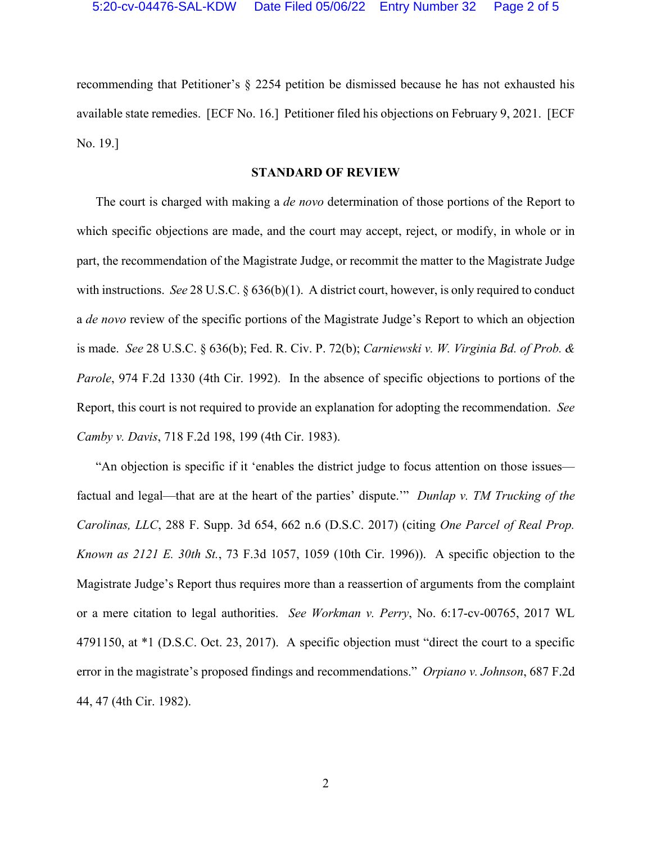recommending that Petitioner's § 2254 petition be dismissed because he has not exhausted his available state remedies. [ECF No. 16.] Petitioner filed his objections on February 9, 2021. [ECF No. 19.]

#### **STANDARD OF REVIEW**

The court is charged with making a *de novo* determination of those portions of the Report to which specific objections are made, and the court may accept, reject, or modify, in whole or in part, the recommendation of the Magistrate Judge, or recommit the matter to the Magistrate Judge with instructions. *See* 28 U.S.C. § 636(b)(1). A district court, however, is only required to conduct a *de novo* review of the specific portions of the Magistrate Judge's Report to which an objection is made. *See* 28 U.S.C. § 636(b); Fed. R. Civ. P. 72(b); *Carniewski v. W. Virginia Bd. of Prob. & Parole*, 974 F.2d 1330 (4th Cir. 1992). In the absence of specific objections to portions of the Report, this court is not required to provide an explanation for adopting the recommendation. *See Camby v. Davis*, 718 F.2d 198, 199 (4th Cir. 1983).

"An objection is specific if it 'enables the district judge to focus attention on those issues factual and legal—that are at the heart of the parties' dispute.'" *Dunlap v. TM Trucking of the Carolinas, LLC*, 288 F. Supp. 3d 654, 662 n.6 (D.S.C. 2017) (citing *One Parcel of Real Prop. Known as 2121 E. 30th St.*, 73 F.3d 1057, 1059 (10th Cir. 1996)). A specific objection to the Magistrate Judge's Report thus requires more than a reassertion of arguments from the complaint or a mere citation to legal authorities. *See Workman v. Perry*, No. 6:17-cv-00765, 2017 WL 4791150, at \*1 (D.S.C. Oct. 23, 2017). A specific objection must "direct the court to a specific error in the magistrate's proposed findings and recommendations." *Orpiano v. Johnson*, 687 F.2d 44, 47 (4th Cir. 1982).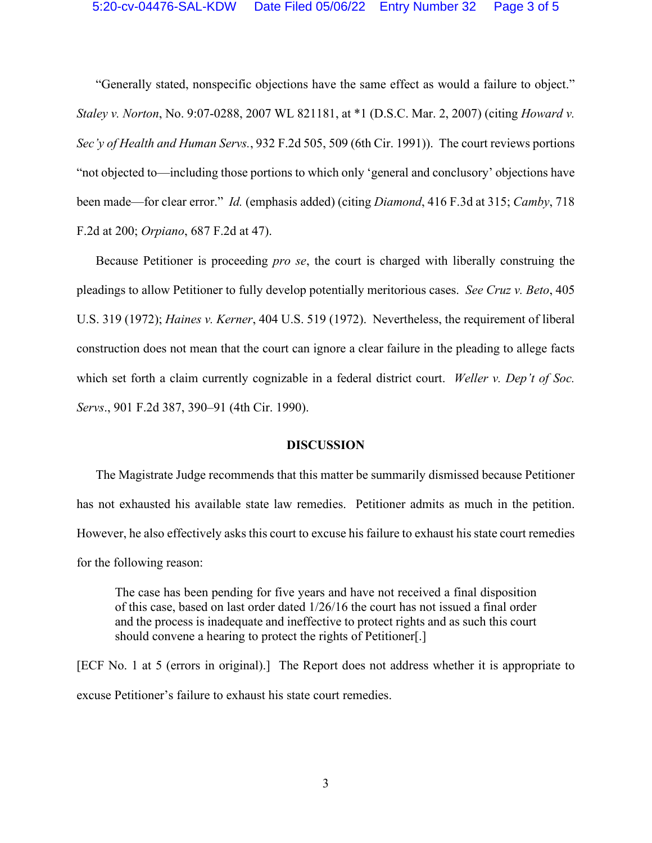"Generally stated, nonspecific objections have the same effect as would a failure to object." *Staley v. Norton*, No. 9:07-0288, 2007 WL 821181, at \*1 (D.S.C. Mar. 2, 2007) (citing *Howard v. Sec'y of Health and Human Servs.*, 932 F.2d 505, 509 (6th Cir. 1991)). The court reviews portions "not objected to—including those portions to which only 'general and conclusory' objections have been made—for clear error." *Id.* (emphasis added) (citing *Diamond*, 416 F.3d at 315; *Camby*, 718 F.2d at 200; *Orpiano*, 687 F.2d at 47).

Because Petitioner is proceeding *pro se*, the court is charged with liberally construing the pleadings to allow Petitioner to fully develop potentially meritorious cases. *See Cruz v. Beto*, 405 U.S. 319 (1972); *Haines v. Kerner*, 404 U.S. 519 (1972). Nevertheless, the requirement of liberal construction does not mean that the court can ignore a clear failure in the pleading to allege facts which set forth a claim currently cognizable in a federal district court. *Weller v. Dep't of Soc. Servs*., 901 F.2d 387, 390–91 (4th Cir. 1990).

### **DISCUSSION**

The Magistrate Judge recommends that this matter be summarily dismissed because Petitioner has not exhausted his available state law remedies. Petitioner admits as much in the petition. However, he also effectively asks this court to excuse his failure to exhaust his state court remedies for the following reason:

The case has been pending for five years and have not received a final disposition of this case, based on last order dated 1/26/16 the court has not issued a final order and the process is inadequate and ineffective to protect rights and as such this court should convene a hearing to protect the rights of Petitioner[.]

[ECF No. 1 at 5 (errors in original).] The Report does not address whether it is appropriate to excuse Petitioner's failure to exhaust his state court remedies.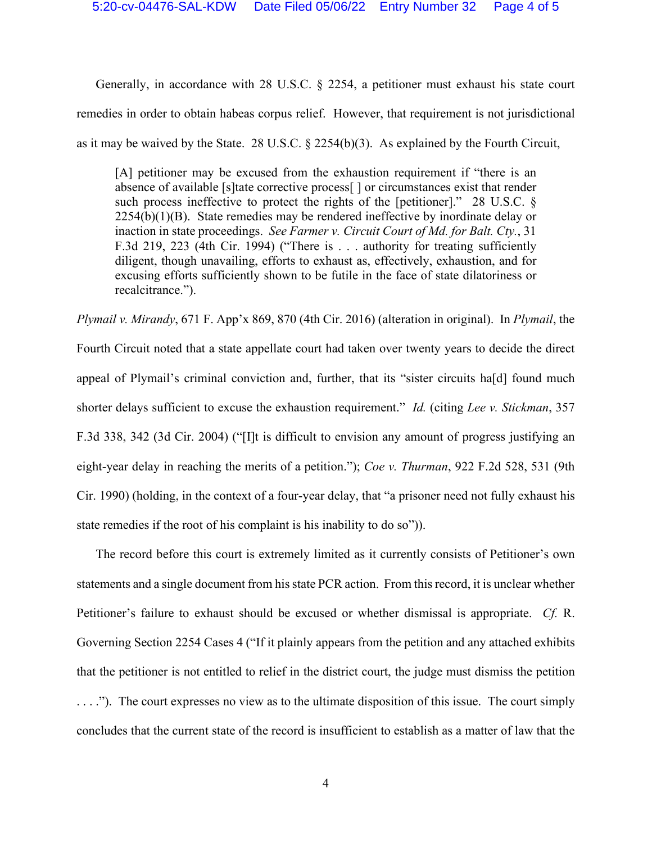Generally, in accordance with 28 U.S.C. § 2254, a petitioner must exhaust his state court remedies in order to obtain habeas corpus relief. However, that requirement is not jurisdictional as it may be waived by the State. 28 U.S.C. § 2254(b)(3). As explained by the Fourth Circuit,

[A] petitioner may be excused from the exhaustion requirement if "there is an absence of available [s]tate corrective process[ ] or circumstances exist that render such process ineffective to protect the rights of the [petitioner]." 28 U.S.C. §  $2254(b)(1)(B)$ . State remedies may be rendered ineffective by inordinate delay or inaction in state proceedings. *See Farmer v. Circuit Court of Md. for Balt. Cty.*, 31 F.3d 219, 223 (4th Cir. 1994) ("There is . . . authority for treating sufficiently diligent, though unavailing, efforts to exhaust as, effectively, exhaustion, and for excusing efforts sufficiently shown to be futile in the face of state dilatoriness or recalcitrance.").

*Plymail v. Mirandy*, 671 F. App'x 869, 870 (4th Cir. 2016) (alteration in original). In *Plymail*, the Fourth Circuit noted that a state appellate court had taken over twenty years to decide the direct appeal of Plymail's criminal conviction and, further, that its "sister circuits ha[d] found much shorter delays sufficient to excuse the exhaustion requirement." *Id.* (citing *Lee v. Stickman*, 357 F.3d 338, 342 (3d Cir. 2004) ("[I]t is difficult to envision any amount of progress justifying an eight-year delay in reaching the merits of a petition."); *Coe v. Thurman*, 922 F.2d 528, 531 (9th Cir. 1990) (holding, in the context of a four-year delay, that "a prisoner need not fully exhaust his state remedies if the root of his complaint is his inability to do so")).

The record before this court is extremely limited as it currently consists of Petitioner's own statements and a single document from his state PCR action. From thisrecord, it is unclear whether Petitioner's failure to exhaust should be excused or whether dismissal is appropriate. *Cf.* R. Governing Section 2254 Cases 4 ("If it plainly appears from the petition and any attached exhibits that the petitioner is not entitled to relief in the district court, the judge must dismiss the petition . . . ."). The court expresses no view as to the ultimate disposition of this issue. The court simply concludes that the current state of the record is insufficient to establish as a matter of law that the